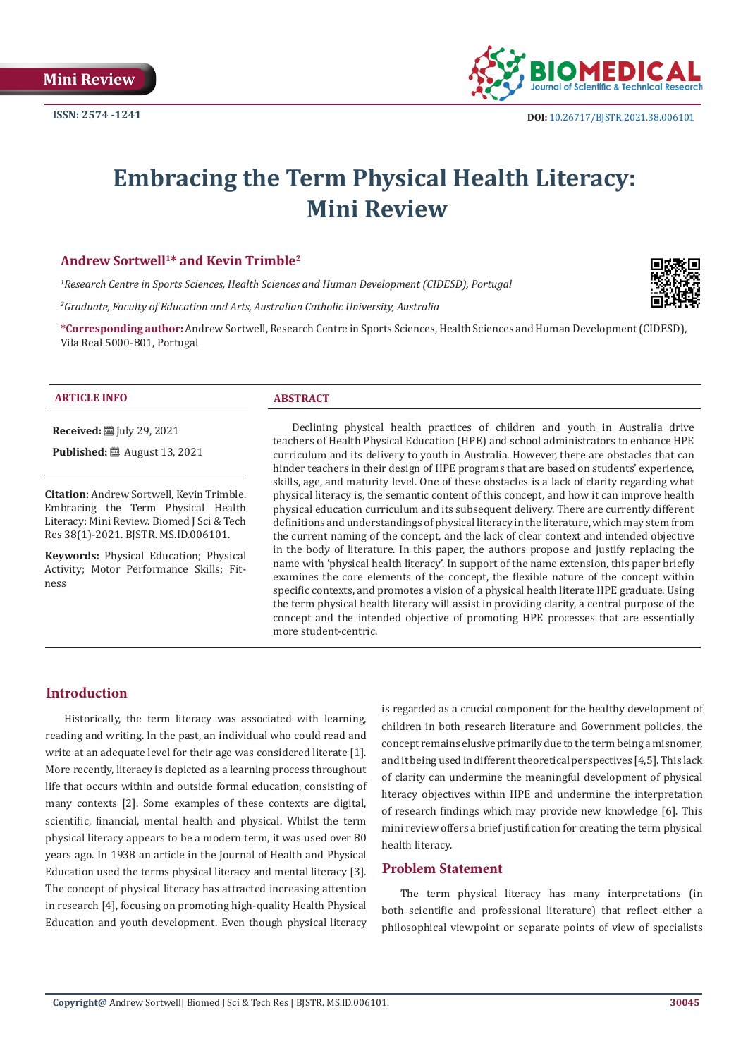

# **Embracing the Term Physical Health Literacy: Mini Review**

#### **Andrew Sortwell1\* and Kevin Trimble2**

*1 Research Centre in Sports Sciences, Health Sciences and Human Development (CIDESD), Portugal*

*2 Graduate, Faculty of Education and Arts, Australian Catholic University, Australia*

**\*Corresponding author:** Andrew Sortwell, Research Centre in Sports Sciences, Health Sciences and Human Development (CIDESD), Vila Real 5000-801, Portugal

#### **ARTICLE INFO ABSTRACT**

**Received:** [Uly 29, 2021]

**Published:** ■ August 13, 2021

**Citation:** Andrew Sortwell, Kevin Trimble. Embracing the Term Physical Health Literacy: Mini Review. Biomed J Sci & Tech Res 38(1)-2021. BJSTR. MS.ID.006101.

**Keywords:** Physical Education; Physical Activity; Motor Performance Skills; Fitness

Declining physical health practices of children and youth in Australia drive teachers of Health Physical Education (HPE) and school administrators to enhance HPE curriculum and its delivery to youth in Australia. However, there are obstacles that can hinder teachers in their design of HPE programs that are based on students' experience, skills, age, and maturity level. One of these obstacles is a lack of clarity regarding what physical literacy is, the semantic content of this concept, and how it can improve health physical education curriculum and its subsequent delivery. There are currently different definitions and understandings of physical literacy in the literature, which may stem from the current naming of the concept, and the lack of clear context and intended objective in the body of literature. In this paper, the authors propose and justify replacing the name with 'physical health literacy'. In support of the name extension, this paper briefly examines the core elements of the concept, the flexible nature of the concept within specific contexts, and promotes a vision of a physical health literate HPE graduate. Using the term physical health literacy will assist in providing clarity, a central purpose of the concept and the intended objective of promoting HPE processes that are essentially more student-centric.

# **Introduction**

Historically, the term literacy was associated with learning, reading and writing. In the past, an individual who could read and write at an adequate level for their age was considered literate [1]. More recently, literacy is depicted as a learning process throughout life that occurs within and outside formal education, consisting of many contexts [2]. Some examples of these contexts are digital, scientific, financial, mental health and physical. Whilst the term physical literacy appears to be a modern term, it was used over 80 years ago. In 1938 an article in the Journal of Health and Physical Education used the terms physical literacy and mental literacy [3]. The concept of physical literacy has attracted increasing attention in research [4], focusing on promoting high-quality Health Physical Education and youth development. Even though physical literacy

is regarded as a crucial component for the healthy development of children in both research literature and Government policies, the concept remains elusive primarily due to the term being a misnomer, and it being used in different theoretical perspectives [4,5]. This lack of clarity can undermine the meaningful development of physical literacy objectives within HPE and undermine the interpretation of research findings which may provide new knowledge [6]. This mini review offers a brief justification for creating the term physical health literacy.

# **Problem Statement**

The term physical literacy has many interpretations (in both scientific and professional literature) that reflect either a philosophical viewpoint or separate points of view of specialists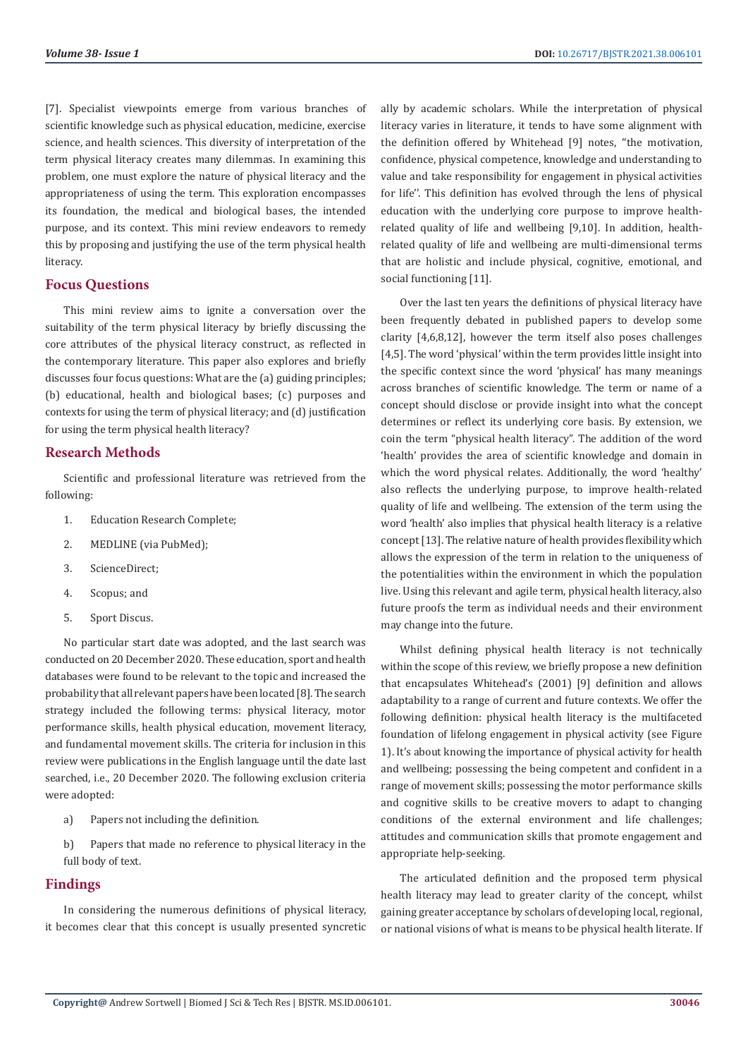[7]. Specialist viewpoints emerge from various branches of scientific knowledge such as physical education, medicine, exercise science, and health sciences. This diversity of interpretation of the term physical literacy creates many dilemmas. In examining this problem, one must explore the nature of physical literacy and the appropriateness of using the term. This exploration encompasses its foundation, the medical and biological bases, the intended purpose, and its context. This mini review endeavors to remedy this by proposing and justifying the use of the term physical health literacy.

## **Focus Questions**

This mini review aims to ignite a conversation over the suitability of the term physical literacy by briefly discussing the core attributes of the physical literacy construct, as reflected in the contemporary literature. This paper also explores and briefly discusses four focus questions: What are the (a) guiding principles; (b) educational, health and biological bases; (c) purposes and contexts for using the term of physical literacy; and (d) justification for using the term physical health literacy?

## **Research Methods**

Scientific and professional literature was retrieved from the following:

- 1. Education Research Complete;
- 2. MEDLINE (via PubMed);
- 3. ScienceDirect;
- 4. Scopus; and
- 5. Sport Discus.

No particular start date was adopted, and the last search was conducted on 20 December 2020. These education, sport and health databases were found to be relevant to the topic and increased the probability that all relevant papers have been located [8]. The search strategy included the following terms: physical literacy, motor performance skills, health physical education, movement literacy, and fundamental movement skills. The criteria for inclusion in this review were publications in the English language until the date last searched, i.e., 20 December 2020. The following exclusion criteria were adopted:

- a) Papers not including the definition.
- b) Papers that made no reference to physical literacy in the full body of text.

# **Findings**

In considering the numerous definitions of physical literacy, it becomes clear that this concept is usually presented syncretic ally by academic scholars. While the interpretation of physical literacy varies in literature, it tends to have some alignment with the definition offered by Whitehead [9] notes, ''the motivation, confidence, physical competence, knowledge and understanding to value and take responsibility for engagement in physical activities for life''. This definition has evolved through the lens of physical education with the underlying core purpose to improve healthrelated quality of life and wellbeing [9,10]. In addition, healthrelated quality of life and wellbeing are multi-dimensional terms that are holistic and include physical, cognitive, emotional, and social functioning [11].

Over the last ten years the definitions of physical literacy have been frequently debated in published papers to develop some clarity [4,6,8,12], however the term itself also poses challenges [4,5]. The word 'physical' within the term provides little insight into the specific context since the word 'physical' has many meanings across branches of scientific knowledge. The term or name of a concept should disclose or provide insight into what the concept determines or reflect its underlying core basis. By extension, we coin the term "physical health literacy". The addition of the word 'health' provides the area of scientific knowledge and domain in which the word physical relates. Additionally, the word 'healthy' also reflects the underlying purpose, to improve health-related quality of life and wellbeing. The extension of the term using the word 'health' also implies that physical health literacy is a relative concept [13]. The relative nature of health provides flexibility which allows the expression of the term in relation to the uniqueness of the potentialities within the environment in which the population live. Using this relevant and agile term, physical health literacy, also future proofs the term as individual needs and their environment may change into the future.

Whilst defining physical health literacy is not technically within the scope of this review, we briefly propose a new definition that encapsulates Whitehead's (2001) [9] definition and allows adaptability to a range of current and future contexts. We offer the following definition: physical health literacy is the multifaceted foundation of lifelong engagement in physical activity (see Figure 1). It's about knowing the importance of physical activity for health and wellbeing; possessing the being competent and confident in a range of movement skills; possessing the motor performance skills and cognitive skills to be creative movers to adapt to changing conditions of the external environment and life challenges; attitudes and communication skills that promote engagement and appropriate help-seeking.

The articulated definition and the proposed term physical health literacy may lead to greater clarity of the concept, whilst gaining greater acceptance by scholars of developing local, regional, or national visions of what is means to be physical health literate. If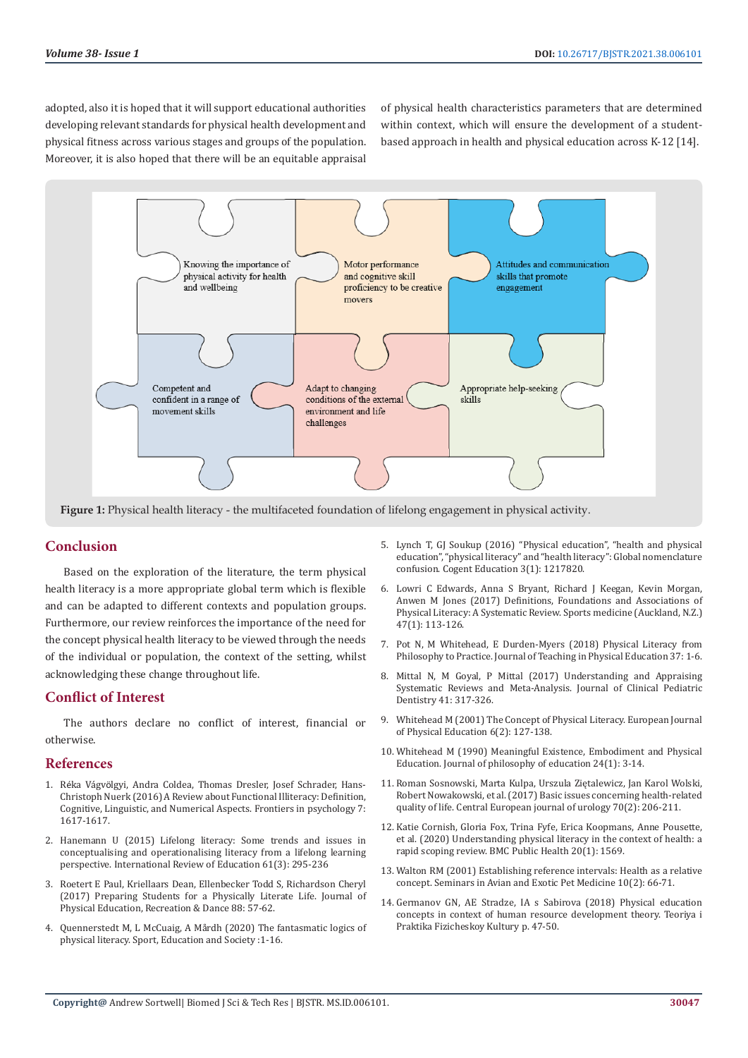adopted, also it is hoped that it will support educational authorities developing relevant standards for physical health development and physical fitness across various stages and groups of the population. Moreover, it is also hoped that there will be an equitable appraisal

of physical health characteristics parameters that are determined within context, which will ensure the development of a studentbased approach in health and physical education across K-12 [14].



**Figure 1:** Physical health literacy - the multifaceted foundation of lifelong engagement in physical activity.

## **Conclusion**

Based on the exploration of the literature, the term physical health literacy is a more appropriate global term which is flexible and can be adapted to different contexts and population groups. Furthermore, our review reinforces the importance of the need for the concept physical health literacy to be viewed through the needs of the individual or population, the context of the setting, whilst acknowledging these change throughout life.

# **Conflict of Interest**

The authors declare no conflict of interest, financial or otherwise.

#### **References**

- 1. Réka Vágvö[lgyi, Andra Coldea, Thomas Dresler, Josef Schrader, Hans-](https://pubmed.ncbi.nlm.nih.gov/27891100/)[Christoph Nuerk \(2016\) A Review about Functional Illiteracy: Definition,](https://pubmed.ncbi.nlm.nih.gov/27891100/)  [Cognitive, Linguistic, and Numerical Aspects. Frontiers in psychology 7:](https://pubmed.ncbi.nlm.nih.gov/27891100/)  [1617-1617.](https://pubmed.ncbi.nlm.nih.gov/27891100/)
- 2. [Hanemann U \(2015\) Lifelong literacy: Some trends and issues in](http://www.unesco.org/new/fileadmin/MULTIMEDIA/FIELD/Santiago/pdf/Hanemann-Lifelong-Literacy.pdf)  [conceptualising and operationalising literacy from a lifelong learning](http://www.unesco.org/new/fileadmin/MULTIMEDIA/FIELD/Santiago/pdf/Hanemann-Lifelong-Literacy.pdf)  [perspective. International Review of Education 61\(3\): 295-236](http://www.unesco.org/new/fileadmin/MULTIMEDIA/FIELD/Santiago/pdf/Hanemann-Lifelong-Literacy.pdf)
- 3. [Roetert E Paul, Kriellaars Dean, Ellenbecker Todd S, Richardson Cheryl](https://eric.ed.gov/?id=EJ1125186)  [\(2017\) Preparing Students for a Physically Literate Life. Journal of](https://eric.ed.gov/?id=EJ1125186)  [Physical Education, Recreation & Dance 88: 57-62.](https://eric.ed.gov/?id=EJ1125186)
- 4. [Quennerstedt M, L McCuaig, A Mårdh \(2020\) The fantasmatic logics of](https://www.researchgate.net/publication/342907822_The_fantasmatic_logics_of_physical_literacy)  [physical literacy. Sport, Education and Society :1-16.](https://www.researchgate.net/publication/342907822_The_fantasmatic_logics_of_physical_literacy)
- 5. [Lynch T, GJ Soukup \(2016\) "Physical education", "health and physical](https://www.tandfonline.com/doi/full/10.1080/2331186X.2016.1217820) [education", "physical literacy" and "health literacy": Global nomenclature](https://www.tandfonline.com/doi/full/10.1080/2331186X.2016.1217820) [confusion. Cogent Education 3\(1\): 1217820.](https://www.tandfonline.com/doi/full/10.1080/2331186X.2016.1217820)
- 6. [Lowri C Edwards, Anna S Bryant, Richard J Keegan, Kevin Morgan,](https://www.ncbi.nlm.nih.gov/pmc/articles/PMC5215133/) [Anwen M Jones \(2017\) Definitions, Foundations and Associations of](https://www.ncbi.nlm.nih.gov/pmc/articles/PMC5215133/) [Physical Literacy: A Systematic Review. Sports medicine \(Auckland, N.Z.\)](https://www.ncbi.nlm.nih.gov/pmc/articles/PMC5215133/) [47\(1\): 113-126.](https://www.ncbi.nlm.nih.gov/pmc/articles/PMC5215133/)
- 7. Pot N, M Whitehead, E Durden-Myers (2018) Physical Literacy from Philosophy to Practice. Journal of Teaching in Physical Education 37: 1-6.
- 8. [Mittal N, M Goyal, P Mittal \(2017\) Understanding and Appraising](https://pubmed.ncbi.nlm.nih.gov/28872991/) [Systematic Reviews and Meta-Analysis. Journal of Clinical Pediatric](https://pubmed.ncbi.nlm.nih.gov/28872991/) [Dentistry 41: 317-326.](https://pubmed.ncbi.nlm.nih.gov/28872991/)
- 9. [Whitehead M \(2001\) The Concept of Physical Literacy. European Journal](https://www.tandfonline.com/doi/abs/10.1080/1740898010060205) [of Physical Education 6\(2\): 127-138.](https://www.tandfonline.com/doi/abs/10.1080/1740898010060205)
- 10. [Whitehead M \(1990\) Meaningful Existence, Embodiment and Physical](https://onlinelibrary.wiley.com/doi/abs/10.1111/j.1467-9752.1990.tb00219.x) [Education. Journal of philosophy of education 24\(1\): 3-14.](https://onlinelibrary.wiley.com/doi/abs/10.1111/j.1467-9752.1990.tb00219.x)
- 11. [Roman Sosnowski, Marta Kulpa, Urszula Ziętalewicz, Jan Karol Wolski,](https://www.ncbi.nlm.nih.gov/pmc/articles/PMC5510334/) [Robert Nowakowski, et al. \(2017\) Basic issues concerning health-related](https://www.ncbi.nlm.nih.gov/pmc/articles/PMC5510334/) [quality of life. Central European journal of urology 70\(2\): 206-211.](https://www.ncbi.nlm.nih.gov/pmc/articles/PMC5510334/)
- 12. [Katie Cornish, Gloria Fox, Trina Fyfe, Erica Koopmans, Anne Pousette,](https://bmcpublichealth.biomedcentral.com/articles/10.1186/s12889-020-09583-8) [et al. \(2020\) Understanding physical literacy in the context of health: a](https://bmcpublichealth.biomedcentral.com/articles/10.1186/s12889-020-09583-8) [rapid scoping review. BMC Public Health 20\(1\): 1569.](https://bmcpublichealth.biomedcentral.com/articles/10.1186/s12889-020-09583-8)
- 13. Walton RM (2001) Establishing reference intervals: Health as a relative concept. Seminars in Avian and Exotic Pet Medicine 10(2): 66-71.
- 14. Germanov GN, AE Stradze, IA s Sabirova (2018) Physical education concepts in context of human resource development theory. Teoriya i Praktika Fizicheskoy Kultury p. 47-50.